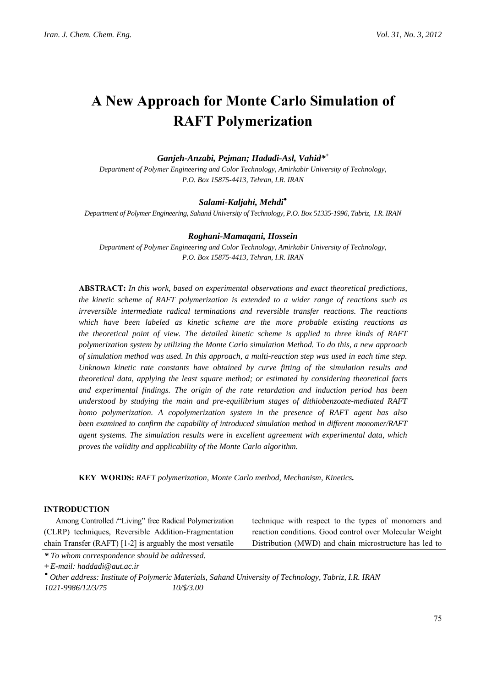# **A New Approach for Monte Carlo Simulation of RAFT Polymerization**

### *Ganjeh-Anzabi, Pejman; Hadadi-Asl, Vahid\*+*

*Department of Polymer Engineering and Color Technology, Amirkabir University of Technology, P.O. Box 15875-4413, Tehran, I.R. IRAN*

#### *Salami-Kaljahi, Mehdi***●**

*Department of Polymer Engineering, Sahand University of Technology, P.O. Box 51335-1996, Tabriz, I.R. IRAN*

#### *Roghani-Mamaqani, Hossein*

*Department of Polymer Engineering and Color Technology, Amirkabir University of Technology, P.O. Box 15875-4413, Tehran, I.R. IRAN*

**ABSTRACT:** *In this work, based on experimental observations and exact theoretical predictions, the kinetic scheme of RAFT polymerization is extended to a wider range of reactions such as irreversible intermediate radical terminations and reversible transfer reactions. The reactions which have been labeled as kinetic scheme are the more probable existing reactions as the theoretical point of view. The detailed kinetic scheme is applied to three kinds of RAFT polymerization system by utilizing the Monte Carlo simulation Method. To do this, a new approach of simulation method was used. In this approach, a multi-reaction step was used in each time step. Unknown kinetic rate constants have obtained by curve fitting of the simulation results and theoretical data, applying the least square method; or estimated by considering theoretical facts and experimental findings. The origin of the rate retardation and induction period has been understood by studying the main and pre-equilibrium stages of dithiobenzoate-mediated RAFT homo polymerization. A copolymerization system in the presence of RAFT agent has also been examined to confirm the capability of introduced simulation method in different monomer/RAFT agent systems. The simulation results were in excellent agreement with experimental data, which proves the validity and applicability of the Monte Carlo algorithm.*

**KEY WORDS:** *RAFT polymerization, Monte Carlo method, Mechanism, Kinetics.* 

### **INTRODUCTION**

Among Controlled /"Living" free Radical Polymerization (CLRP) techniques, Reversible Addition-Fragmentation chain Transfer (RAFT) [1-2] is arguably the most versatile technique with respect to the types of monomers and reaction conditions. Good control over Molecular Weight Distribution (MWD) and chain microstructure has led to

*\* To whom correspondence should be addressed.* 

**+** *E-mail: haddadi@aut.ac.ir* 

**●**  *Other address: Institute of Polymeric Materials, Sahand University of Technology, Tabriz, I.R. IRAN 1021-9986/12/3/75 10/\$/3.00*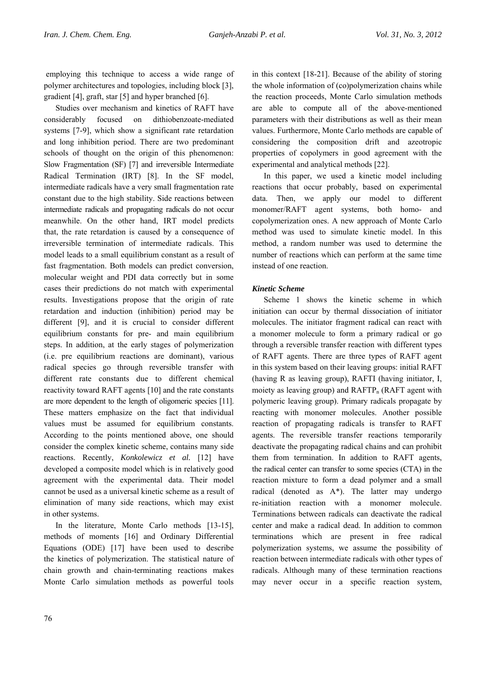employing this technique to access a wide range of polymer architectures and topologies, including block [3], gradient [4], graft, star [5] and hyper branched [6].

Studies over mechanism and kinetics of RAFT have considerably focused on dithiobenzoate-mediated systems [7-9], which show a significant rate retardation and long inhibition period. There are two predominant schools of thought on the origin of this phenomenon: Slow Fragmentation (SF) [7] and irreversible Intermediate Radical Termination (IRT) [8]. In the SF model, intermediate radicals have a very small fragmentation rate constant due to the high stability. Side reactions between intermediate radicals and propagating radicals do not occur meanwhile. On the other hand, IRT model predicts that, the rate retardation is caused by a consequence of irreversible termination of intermediate radicals. This model leads to a small equilibrium constant as a result of fast fragmentation. Both models can predict conversion, molecular weight and PDI data correctly but in some cases their predictions do not match with experimental results. Investigations propose that the origin of rate retardation and induction (inhibition) period may be different [9], and it is crucial to consider different equilibrium constants for pre- and main equilibrium steps. In addition, at the early stages of polymerization (i.e. pre equilibrium reactions are dominant), various radical species go through reversible transfer with different rate constants due to different chemical reactivity toward RAFT agents [10] and the rate constants are more dependent to the length of oligomeric species [11]. These matters emphasize on the fact that individual values must be assumed for equilibrium constants. According to the points mentioned above, one should consider the complex kinetic scheme, contains many side reactions. Recently, *Konkolewicz et al.* [12] have developed a composite model which is in relatively good agreement with the experimental data. Their model cannot be used as a universal kinetic scheme as a result of elimination of many side reactions, which may exist in other systems.

In the literature, Monte Carlo methods [13-15], methods of moments [16] and Ordinary Differential Equations (ODE) [17] have been used to describe the kinetics of polymerization. The statistical nature of chain growth and chain-terminating reactions makes Monte Carlo simulation methods as powerful tools

in this context [18-21]. Because of the ability of storing the whole information of (co)polymerization chains while the reaction proceeds, Monte Carlo simulation methods are able to compute all of the above-mentioned parameters with their distributions as well as their mean values. Furthermore, Monte Carlo methods are capable of considering the composition drift and azeotropic properties of copolymers in good agreement with the experimental and analytical methods [22].

In this paper, we used a kinetic model including reactions that occur probably, based on experimental data. Then, we apply our model to different monomer/RAFT agent systems, both homo- and copolymerization ones. A new approach of Monte Carlo method was used to simulate kinetic model. In this method, a random number was used to determine the number of reactions which can perform at the same time instead of one reaction.

## *Kinetic Scheme*

Scheme 1 shows the kinetic scheme in which initiation can occur by thermal dissociation of initiator molecules. The initiator fragment radical can react with a monomer molecule to form a primary radical or go through a reversible transfer reaction with different types of RAFT agents. There are three types of RAFT agent in this system based on their leaving groups: initial RAFT (having R as leaving group), RAFTI (having initiator, I, moiety as leaving group) and  $RAFTP_n$  ( $RAFT$  agent with polymeric leaving group). Primary radicals propagate by reacting with monomer molecules. Another possible reaction of propagating radicals is transfer to RAFT agents. The reversible transfer reactions temporarily deactivate the propagating radical chains and can prohibit them from termination. In addition to RAFT agents, the radical center can transfer to some species (CTA) in the reaction mixture to form a dead polymer and a small radical (denoted as A\*). The latter may undergo re-initiation reaction with a monomer molecule. Terminations between radicals can deactivate the radical center and make a radical dead. In addition to common terminations which are present in free radical polymerization systems, we assume the possibility of reaction between intermediate radicals with other types of radicals. Although many of these termination reactions may never occur in a specific reaction system,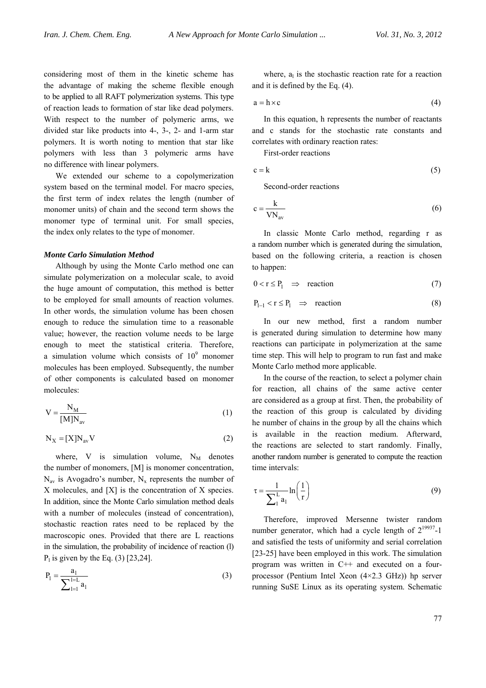considering most of them in the kinetic scheme has the advantage of making the scheme flexible enough to be applied to all RAFT polymerization systems. This type of reaction leads to formation of star like dead polymers. With respect to the number of polymeric arms, we divided star like products into 4-, 3-, 2- and 1-arm star polymers. It is worth noting to mention that star like polymers with less than 3 polymeric arms have no difference with linear polymers.

We extended our scheme to a copolymerization system based on the terminal model. For macro species, the first term of index relates the length (number of monomer units) of chain and the second term shows the monomer type of terminal unit. For small species, the index only relates to the type of monomer.

#### *Monte Carlo Simulation Method*

Although by using the Monte Carlo method one can simulate polymerization on a molecular scale, to avoid the huge amount of computation, this method is better to be employed for small amounts of reaction volumes. In other words, the simulation volume has been chosen enough to reduce the simulation time to a reasonable value; however, the reaction volume needs to be large enough to meet the statistical criteria. Therefore, a simulation volume which consists of  $10<sup>9</sup>$  monomer molecules has been employed. Subsequently, the number of other components is calculated based on monomer molecules:

$$
V = \frac{N_M}{[M]N_{av}}
$$
 (1)

$$
N_X = [X]N_{av}V
$$
 (2)

where, V is simulation volume,  $N_M$  denotes the number of monomers, [M] is monomer concentration,  $N_{av}$  is Avogadro's number,  $N_{x}$  represents the number of X molecules, and [X] is the concentration of X species. In addition, since the Monte Carlo simulation method deals with a number of molecules (instead of concentration), stochastic reaction rates need to be replaced by the macroscopic ones. Provided that there are L reactions in the simulation, the probability of incidence of reaction (l)  $P_1$  is given by the Eq. (3) [23,24].

$$
P_1 = \frac{a_1}{\sum_{l=1}^{l=L} a_l} \tag{3}
$$

where,  $a<sub>l</sub>$  is the stochastic reaction rate for a reaction and it is defined by the Eq. (4).

$$
a = h \times c \tag{4}
$$

In this equation, h represents the number of reactants and c stands for the stochastic rate constants and correlates with ordinary reaction rates:

First-order reactions

$$
c = k \tag{5}
$$

Second-order reactions

$$
c = \frac{k}{VN_{av}}
$$
 (6)

In classic Monte Carlo method, regarding r as a random number which is generated during the simulation, based on the following criteria, a reaction is chosen to happen:

$$
0 < r \le P_1 \quad \Rightarrow \quad \text{reaction} \tag{7}
$$

$$
P_{l-1} < r \le P_l \quad \Rightarrow \quad \text{reaction} \tag{8}
$$

In our new method, first a random number is generated during simulation to determine how many reactions can participate in polymerization at the same time step. This will help to program to run fast and make Monte Carlo method more applicable.

In the course of the reaction, to select a polymer chain for reaction, all chains of the same active center are considered as a group at first. Then, the probability of the reaction of this group is calculated by dividing he number of chains in the group by all the chains which is available in the reaction medium. Afterward, the reactions are selected to start randomly. Finally, another random number is generated to compute the reaction time intervals:

$$
\tau = \frac{1}{\sum_{1}^{L} a_1} \ln\left(\frac{1}{r}\right) \tag{9}
$$

Therefore, improved Mersenne twister random number generator, which had a cycle length of  $2^{19937}$ -1 and satisfied the tests of uniformity and serial correlation [23-25] have been employed in this work. The simulation program was written in C++ and executed on a fourprocessor (Pentium Intel Xeon (4×2.3 GHz)) hp server running SuSE Linux as its operating system. Schematic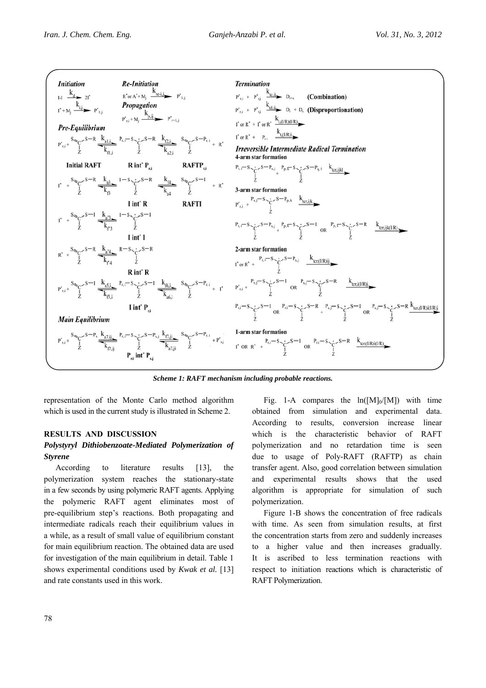

*Scheme 1: RAFT mechanism including probable reactions.* 

representation of the Monte Carlo method algorithm which is used in the current study is illustrated in Scheme 2.

# **RESULTS AND DISCUSSION**

# *Polystyryl Dithiobenzoate-Mediated Polymerization of Styrene*

According to literature results [13], the polymerization system reaches the stationary-state in a few seconds by using polymeric RAFT agents. Applying the polymeric RAFT agent eliminates most of pre-equilibrium step's reactions. Both propagating and intermediate radicals reach their equilibrium values in a while, as a result of small value of equilibrium constant for main equilibrium reaction. The obtained data are used for investigation of the main equilibrium in detail. Table 1 shows experimental conditions used by *Kwak et al.* [13] and rate constants used in this work.

Fig. 1-A compares the  $ln([M]_0/[M])$  with time obtained from simulation and experimental data. According to results, conversion increase linear which is the characteristic behavior of RAFT polymerization and no retardation time is seen due to usage of Poly-RAFT (RAFTP) as chain transfer agent. Also, good correlation between simulation and experimental results shows that the used algorithm is appropriate for simulation of such polymerization.

Figure 1-B shows the concentration of free radicals with time. As seen from simulation results, at first the concentration starts from zero and suddenly increases to a higher value and then increases gradually. It is ascribed to less termination reactions with respect to initiation reactions which is characteristic of RAFT Polymerization.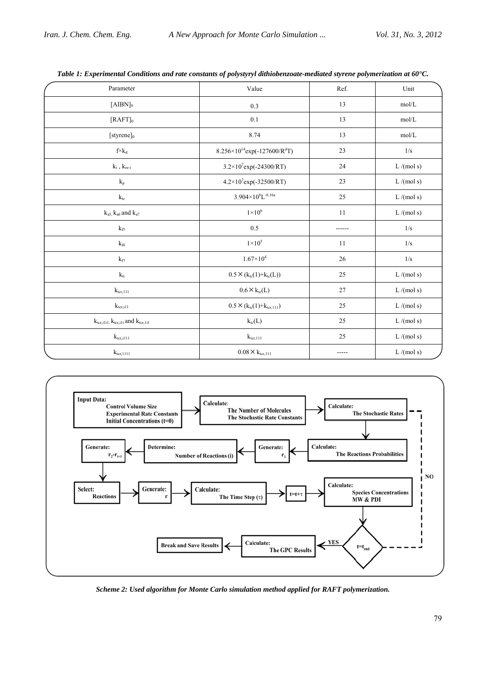| Parameter                                                | Value                                                | Ref.   | Unit      |
|----------------------------------------------------------|------------------------------------------------------|--------|-----------|
| $[AIBN]_0$                                               | 0.3                                                  | 13     | mol/L     |
| $[RAFT]_0$                                               | 0.1                                                  | 13     | mol/L     |
| [styrene]0                                               | 8.74                                                 | 13     | mol/L     |
| $f \times k_d$                                           | $8.256 \times 10^{14}$ exp(-127600/R <sup>d</sup> T) | 23     | 1/s       |
| $k_{\rm i}$ , $k_{\rm re\text{-}i}$                      | $3.2 \times 10^{7}$ exp(-24300/RT)                   | 24     | L/(mol s) |
| $\mathbf{k}_\mathrm{p}$                                  | $4.2\times10^{7}$ exp(-32500/RT)                     | 23     | L/(mol s) |
| $k_{\rm tc}$                                             | $3.904\times10^{8}L^{-0.16a}$                        | 25     | L/(mol s) |
| $k_{a5}$ , $k_{a6}$ and $k_{a7}$                         | $1\times10^6$                                        | 11     | L/(mol s) |
| $k_{\rm f5}$                                             | 0.5                                                  |        | 1/s       |
| $k_{\rm f6}$                                             | $1\times10^5$                                        | 11     | 1/s       |
| $k_{\mathrm{f}7}$                                        | $1.67\times10^4$                                     | 26     | 1/s       |
| $k_{\rm ti}$                                             | $0.5 \times (k_{tc}(1) + k_{tc}(L))$                 | $25\,$ | L/(mol s) |
| $k_{\text{ter},111}$                                     | $0.6 \times k_{tc}(L)$                               | 27     | L/(mol s) |
| $k_{\rm ter,i11}$                                        | $0.5 \times (k_{tc}(1) + k_{tcr,111})$               | 25     | L/(mol s) |
| $k_{\rm ter,i1i1},k_{\rm ter,i1i}$ and $k_{\rm ter,i1i}$ | $k_{tc}(L)$                                          | 25     | L/(mol s) |
| $k_{\rm ter,i111}$                                       | $k_{\text{ter},111}$                                 | 25     | L/(mol s) |
| $k_{\rm tr,1111}$                                        | $0.08 \times k_{\text{ter},111}$                     |        | L/(mol s) |





*Scheme 2: Used algorithm for Monte Carlo simulation method applied for RAFT polymerization.*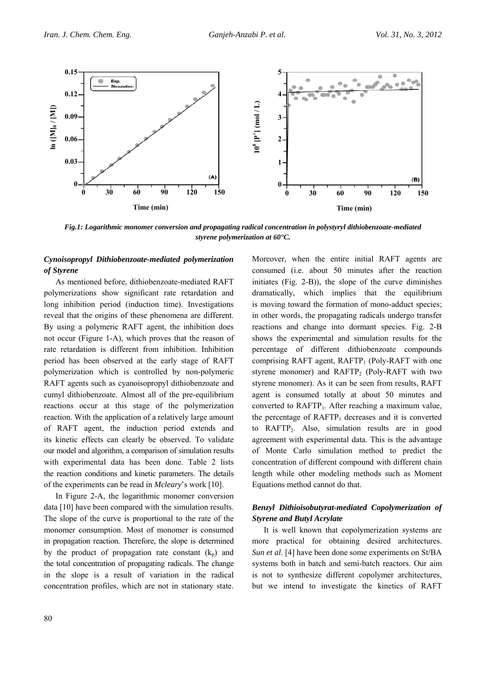

*Fig.1: Logarithmic monomer conversion and propagating radical concentration in polystyryl dithiobenzoate-mediated styrene polymerization at 60°C.*

## *Cynoisopropyl Dithiobenzoate-mediated polymerization of Styrene*

As mentioned before, dithiobenzoate-mediated RAFT polymerizations show significant rate retardation and long inhibition period (induction time). Investigations reveal that the origins of these phenomena are different. By using a polymeric RAFT agent, the inhibition does not occur (Figure 1-A), which proves that the reason of rate retardation is different from inhibition. Inhibition period has been observed at the early stage of RAFT polymerization which is controlled by non-polymeric RAFT agents such as cyanoisopropyl dithiobenzoate and cumyl dithiobenzoate. Almost all of the pre-equilibrium reactions occur at this stage of the polymerization reaction. With the application of a relatively large amount of RAFT agent, the induction period extends and its kinetic effects can clearly be observed. To validate our model and algorithm, a comparison of simulation results with experimental data has been done. Table 2 lists the reaction conditions and kinetic parameters. The details of the experiments can be read in *Mcleary*'s work [10].

In Figure 2-A, the logarithmic monomer conversion data [10] have been compared with the simulation results. The slope of the curve is proportional to the rate of the monomer consumption. Most of monomer is consumed in propagation reaction. Therefore, the slope is determined by the product of propagation rate constant  $(k_p)$  and the total concentration of propagating radicals. The change in the slope is a result of variation in the radical concentration profiles, which are not in stationary state.

Moreover, when the entire initial RAFT agents are consumed (i.e. about 50 minutes after the reaction initiates (Fig. 2-B)), the slope of the curve diminishes dramatically, which implies that the equilibrium is moving toward the formation of mono-adduct species; in other words, the propagating radicals undergo transfer reactions and change into dormant species. Fig. 2-B shows the experimental and simulation results for the percentage of different dithiobenzoate compounds comprising RAFT agent,  $RAFTP<sub>1</sub>$  (Poly-RAFT with one styrene monomer) and RAFTP<sub>2</sub> (Poly-RAFT with two styrene monomer). As it can be seen from results, RAFT agent is consumed totally at about 50 minutes and converted to RAFTP1. After reaching a maximum value, the percentage of  $RAFTP_1$  decreases and it is converted to RAFTP2. Also, simulation results are in good agreement with experimental data. This is the advantage of Monte Carlo simulation method to predict the concentration of different compound with different chain length while other modeling methods such as Moment Equations method cannot do that.

# *Benzyl Dithioisobutyrat-mediated Copolymerization of Styrene and Butyl Acrylate*

It is well known that copolymerization systems are more practical for obtaining desired architectures. *Sun et al.* [4] have been done some experiments on St/BA systems both in batch and semi-batch reactors. Our aim is not to synthesize different copolymer architectures, but we intend to investigate the kinetics of RAFT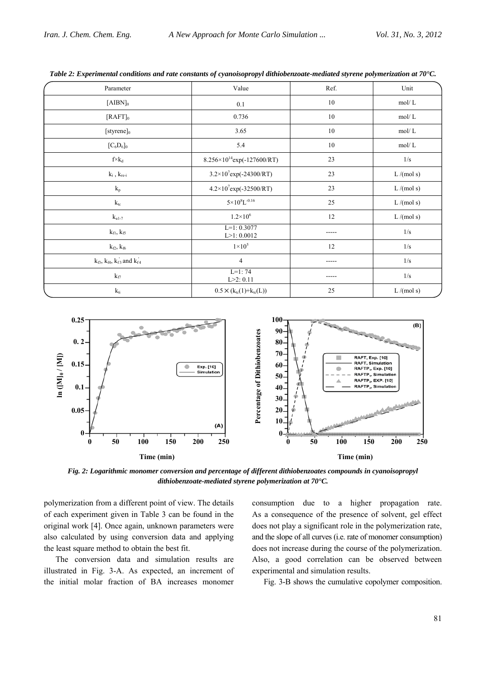| Parameter                                   | Value                                  | Ref.   | Unit      |  |  |
|---------------------------------------------|----------------------------------------|--------|-----------|--|--|
| $[AIBN]_0$                                  | 0.1                                    | 10     | mol/L     |  |  |
| $[RAFT]_0$                                  | 0.736                                  | 10     | mol/L     |  |  |
| $[styrene]_0$                               | 3.65                                   | 10     | mol/L     |  |  |
| $[C_6D_6]_0$                                | 5.4                                    | $10\,$ | mol/L     |  |  |
| $f \times k_d$                              | $8.256 \times 10^{14}$ exp(-127600/RT) | 23     | 1/s       |  |  |
| $k_{\rm i}$ , $k_{\rm re\text{-}i}$         | $3.2\times10^{7}$ exp(-24300/RT)       | 23     | L/(mol s) |  |  |
| $k_{\rm p}$                                 | $4.2 \times 10^{7}$ exp(-32500/RT)     | 23     | L/(mol s) |  |  |
| $k_{tc}$                                    | $5\times10^{8}$ L <sup>-0.16</sup>     | 25     | L/(mol s) |  |  |
| $k_{\rm a1-7}$                              | $1.2 \times 10^{6}$                    | 12     | L/(mol s) |  |  |
| $k_{fl}$ , $k_{f5}$                         | $L=1:0.3077$<br>$L > 1$ : 0.0012       |        | 1/s       |  |  |
| $k_{f2}$ , $k_{f6}$                         | $1\times10^5$                          | 12     | 1/s       |  |  |
| $k_{f3}$ , $k_{f4}$ , $k_{f3}$ and $k_{f4}$ | $\overline{4}$                         |        | $1/s$     |  |  |
| $k_{f7}$                                    | $L=1:74$<br>$L > 2$ : 0.11             |        | 1/s       |  |  |
| $k_{\rm ti}$                                | $0.5 \times (k_{tc}(1) + k_{tc}(L))$   | 25     | L/(mol s) |  |  |

*Table 2: Experimental conditions and rate constants of cyanoisopropyl dithiobenzoate-mediated styrene polymerization at 70°C.* 



*Fig. 2: Logarithmic monomer conversion and percentage of different dithiobenzoates compounds in cyanoisopropyl dithiobenzoate-mediated styrene polymerization at 70°C.*

polymerization from a different point of view. The details of each experiment given in Table 3 can be found in the original work [4]. Once again, unknown parameters were also calculated by using conversion data and applying the least square method to obtain the best fit.

The conversion data and simulation results are illustrated in Fig. 3-A. As expected, an increment of the initial molar fraction of BA increases monomer

consumption due to a higher propagation rate. As a consequence of the presence of solvent, gel effect does not play a significant role in the polymerization rate, and the slope of all curves (i.e. rate of monomer consumption) does not increase during the course of the polymerization. Also, a good correlation can be observed between experimental and simulation results.

Fig. 3-B shows the cumulative copolymer composition.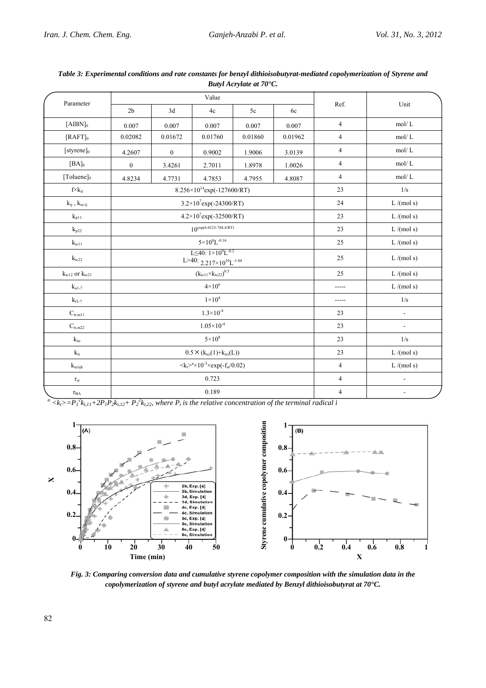| Parameter                                                | Value                                                                                      |                                        |         |         |         |                |                |
|----------------------------------------------------------|--------------------------------------------------------------------------------------------|----------------------------------------|---------|---------|---------|----------------|----------------|
|                                                          | 2 <sub>b</sub>                                                                             | 3d                                     | 4c      | 5c      | 6c      | Ref.           | Unit           |
| $[AIBN]_0$                                               | 0.007                                                                                      | 0.007                                  | 0.007   | 0.007   | 0.007   | $\overline{4}$ | mol/L          |
| $[RAFT]_0$                                               | 0.02082                                                                                    | 0.01672                                | 0.01760 | 0.01860 | 0.01962 | $\overline{4}$ | mol/L          |
| $[styrene]_0$                                            | 4.2607                                                                                     | $\boldsymbol{0}$                       | 0.9002  | 1.9006  | 3.0139  | $\overline{4}$ | mol/L          |
| $[BA]_0$                                                 | $\boldsymbol{0}$                                                                           | 3.4261                                 | 2.7011  | 1.8978  | 1.0026  | $\overline{4}$ | mol/L          |
| $[Toluene]_0$                                            | 4.8234                                                                                     | 4.7731                                 | 4.7853  | 4.7955  | 4.8087  | $\overline{4}$ | mol/L          |
| $f \!\!\times\! k_d$                                     |                                                                                            | $8.256 \times 10^{14}$ exp(-127600/RT) |         |         |         |                | 1/s            |
| $k_{ij}$ , $k_{re\text{-}ij}$                            |                                                                                            | $3.2 \times 10^{7}$ exp(-24300/RT)     |         |         |         |                | L/(mol s)      |
| $k_{p11}$                                                |                                                                                            | $4.2 \times 10^{7}$ exp(-32500/RT)     |         |         |         |                | L/(mol s)      |
| $\mathbf{k}_{\text{p22}}$                                | $10^{\exp(6.0123-784.4/RT)}$                                                               |                                        |         |         |         | 23             | L/(mol s)      |
| $k_{\text{tcl}}$                                         | $5\times10^{8}$ L <sup>-0.16</sup>                                                         |                                        |         |         |         | 25             | L/(mol s)      |
| $k_{tc22}$                                               | L<40: $1 \times 10^{9}$ L <sup>-0.2</sup><br>L>40: $2.217\times10^{10}$ L <sup>-1.04</sup> |                                        |         |         |         | 25             | L/(mol s)      |
| $\mathbf{k}_{\text{tcl2}}$ or $\mathbf{k}_{\text{tcl1}}$ | $(k_{tc11} \times k_{tc22})^{0.5}$                                                         |                                        |         |         |         | 25             | L/(mol s)      |
| $\mathbf{k}_{\text{a}1-7}$                               | $4 \times 10^6$                                                                            |                                        |         |         |         |                | L/(mol s)      |
| $k_{fl-7}$                                               | $1\times10^4$                                                                              |                                        |         |         |         | -----          | $1/\mathrm{s}$ |
| $C_{tr,m11}$                                             | $1.3 \times 10^{-4}$                                                                       |                                        |         |         |         | 23             | $\overline{a}$ |
| $C_{\text{tr,m22}}$                                      | $1.05 \times 10^{-4}$                                                                      |                                        |         |         |         | 23             | $\overline{a}$ |
| $k_{\rm tir}$                                            | $5 \times 10^8$                                                                            |                                        |         |         |         | 23             | 1/s            |
| $k_{\rm ti}$                                             | $0.5 \times (k_{\text{tci}}(1) + k_{\text{tci}}(L))$                                       |                                        |         |         |         | 23             | L/(mol s)      |
| $k_{\text{terijk}}$                                      | $\langle k_t \rangle^a \times 10^{-3} \times \exp(-f_{st}/0.02)$                           |                                        |         |         |         | $\overline{4}$ | L/(mol s)      |
| $\rm r_{\rm st}$                                         | 0.723                                                                                      |                                        |         |         |         | $\overline{4}$ | $\overline{a}$ |
| $r_{BA}$                                                 | 0.189                                                                                      |                                        |         |         |         | $\sqrt{4}$     |                |

*Table 3: Experimental conditions and rate constants for benzyl dithioisobutyrat-mediated copolymerization of Styrene and Butyl Acrylate at 70°C.* 

 $a \overline{\langle k_1 \rangle} = P_1^2 k_{t,11} + 2P_1 P_2 k_{t,12} + P_2^2 k_{t,22}$ , where  $P_i$  is the relative concentration of the terminal radical i



*Fig. 3: Comparing conversion data and cumulative styrene copolymer composition with the simulation data in the copolymerization of styrene and butyl acrylate mediated by Benzyl dithioisobutyrat at 70°C.*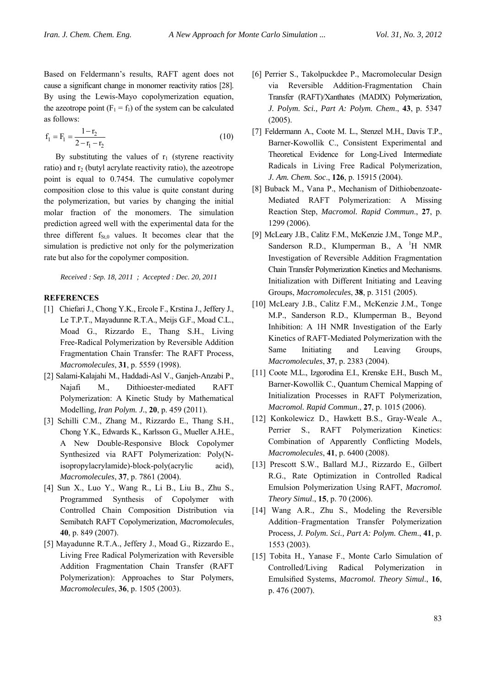Based on Feldermann's results, RAFT agent does not cause a significant change in monomer reactivity ratios [28]. By using the Lewis-Mayo copolymerization equation, the azeotrope point  $(F_1 = f_1)$  of the system can be calculated as follows:

$$
f_1 = F_1 = \frac{1 - r_2}{2 - r_1 - r_2} \tag{10}
$$

By substituting the values of  $r_1$  (styrene reactivity ratio) and r<sub>2</sub> (butyl acrylate reactivity ratio), the azeotrope point is equal to 0.7454. The cumulative copolymer composition close to this value is quite constant during the polymerization, but varies by changing the initial molar fraction of the monomers. The simulation prediction agreed well with the experimental data for the three different  $f_{St,0}$  values. It becomes clear that the simulation is predictive not only for the polymerization rate but also for the copolymer composition.

*Received : Sep. 18, 2011 ; Accepted : Dec. 20, 2011* 

#### **REFERENCES**

- [1] Chiefari J., Chong Y.K., Ercole F., Krstina J., Jeffery J., Le T.P.T., Mayadunne R.T.A., Meijs G.F., Moad C.L., Moad G., Rizzardo E., Thang S.H., Living Free-Radical Polymerization by Reversible Addition Fragmentation Chain Transfer: The RAFT Process, *Macromolecules*, **31**, p. 5559 (1998).
- [2] Salami-Kalajahi M., Haddadi-Asl V., Ganjeh-Anzabi P., Najafi M., Dithioester-mediated RAFT Polymerization: A Kinetic Study by Mathematical Modelling, *Iran Polym. J.*, **20**, p. 459 (2011).
- [3] Schilli C.M., Zhang M., Rizzardo E., Thang S.H., Chong Y.K., Edwards K., Karlsson G., Mueller A.H.E., A New Double-Responsive Block Copolymer Synthesized via RAFT Polymerization: Poly(Nisopropylacrylamide)-block-poly(acrylic acid), *Macromolecules*, **37**, p. 7861 (2004).
- [4] Sun X., Luo Y., Wang R., Li B., Liu B., Zhu S., Programmed Synthesis of Copolymer with Controlled Chain Composition Distribution via Semibatch RAFT Copolymerization, *Macromolecules*, **40**, p. 849 (2007).
- [5] Mayadunne R.T.A., Jeffery J., Moad G., Rizzardo E., Living Free Radical Polymerization with Reversible Addition Fragmentation Chain Transfer (RAFT Polymerization): Approaches to Star Polymers, *Macromolecules*, **36**, p. 1505 (2003).
- [6] Perrier S., Takolpuckdee P., Macromolecular Design via Reversible Addition-Fragmentation Chain Transfer (RAFT)/Xanthates (MADIX) Polymerization, *J. Polym. Sci., Part A: Polym. Chem*., **43**, p. 5347 (2005).
- [7] Feldermann A., Coote M. L., Stenzel M.H., Davis T.P., Barner-Kowollik C., Consistent Experimental and Theoretical Evidence for Long-Lived Intermediate Radicals in Living Free Radical Polymerization, *J. Am. Chem. Soc*., **126**, p. 15915 (2004).
- [8] Buback M., Vana P., Mechanism of Dithiobenzoate-Mediated RAFT Polymerization: A Missing Reaction Step, *Macromol. Rapid Commun*., **27**, p. 1299 (2006).
- [9] McLeary J.B., Calitz F.M., McKenzie J.M., Tonge M.P., Sanderson R.D., Klumperman B., A <sup>1</sup>H NMR Investigation of Reversible Addition Fragmentation Chain Transfer Polymerization Kinetics and Mechanisms. Initialization with Different Initiating and Leaving Groups, *Macromolecules*, **38**, p. 3151 (2005).
- [10] McLeary J.B., Calitz F.M., McKenzie J.M., Tonge M.P., Sanderson R.D., Klumperman B., Beyond Inhibition: A 1H NMR Investigation of the Early Kinetics of RAFT-Mediated Polymerization with the Same Initiating and Leaving Groups, *Macromolecules*, **37**, p. 2383 (2004).
- [11] Coote M.L., Izgorodina E.I., Krenske E.H., Busch M., Barner-Kowollik C., Quantum Chemical Mapping of Initialization Processes in RAFT Polymerization, *Macromol. Rapid Commun*., **27**, p. 1015 (2006).
- [12] Konkolewicz D., Hawkett B.S., Gray-Weale A., Perrier S., RAFT Polymerization Kinetics: Combination of Apparently Conflicting Models, *Macromolecules*, **41**, p. 6400 (2008).
- [13] Prescott S.W., Ballard M.J., Rizzardo E., Gilbert R.G., Rate Optimization in Controlled Radical Emulsion Polymerization Using RAFT, *Macromol. Theory Simul*., **15**, p. 70 (2006).
- [14] Wang A.R., Zhu S., Modeling the Reversible Addition–Fragmentation Transfer Polymerization Process, *J. Polym. Sci., Part A: Polym. Chem*., **41**, p. 1553 (2003).
- [15] Tobita H., Yanase F., Monte Carlo Simulation of Controlled/Living Radical Polymerization in Emulsified Systems, *Macromol. Theory Simul*., **16**, p. 476 (2007).